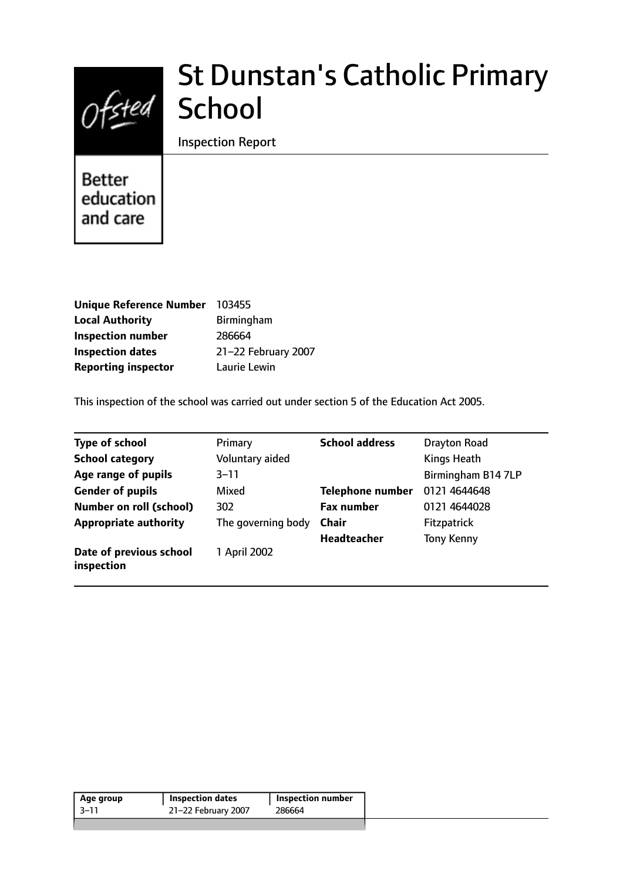

# St Dunstan's Catholic Primary School

Inspection Report

**Better** education and care

| Unique Reference Number    | 103455              |
|----------------------------|---------------------|
| <b>Local Authority</b>     | <b>Birmingham</b>   |
| <b>Inspection number</b>   | 286664              |
| <b>Inspection dates</b>    | 21-22 February 2007 |
| <b>Reporting inspector</b> | Laurie Lewin        |

This inspection of the school was carried out under section 5 of the Education Act 2005.

| <b>Type of school</b>                 | Primary            | <b>School address</b>   | Drayton Road       |
|---------------------------------------|--------------------|-------------------------|--------------------|
| <b>School category</b>                | Voluntary aided    |                         | Kings Heath        |
| Age range of pupils                   | $3 - 11$           |                         | Birmingham B14 7LP |
| <b>Gender of pupils</b>               | Mixed              | <b>Telephone number</b> | 0121 4644648       |
| <b>Number on roll (school)</b>        | 302                | <b>Fax number</b>       | 0121 4644028       |
| <b>Appropriate authority</b>          | The governing body | <b>Chair</b>            | <b>Fitzpatrick</b> |
|                                       |                    | Headteacher             | <b>Tony Kenny</b>  |
| Date of previous school<br>inspection | 1 April 2002       |                         |                    |

| Age group | <b>Inspection dates</b> | <b>Inspection number</b> |
|-----------|-------------------------|--------------------------|
| $-3-11$   | 21-22 February 2007     | 286664                   |
|           |                         |                          |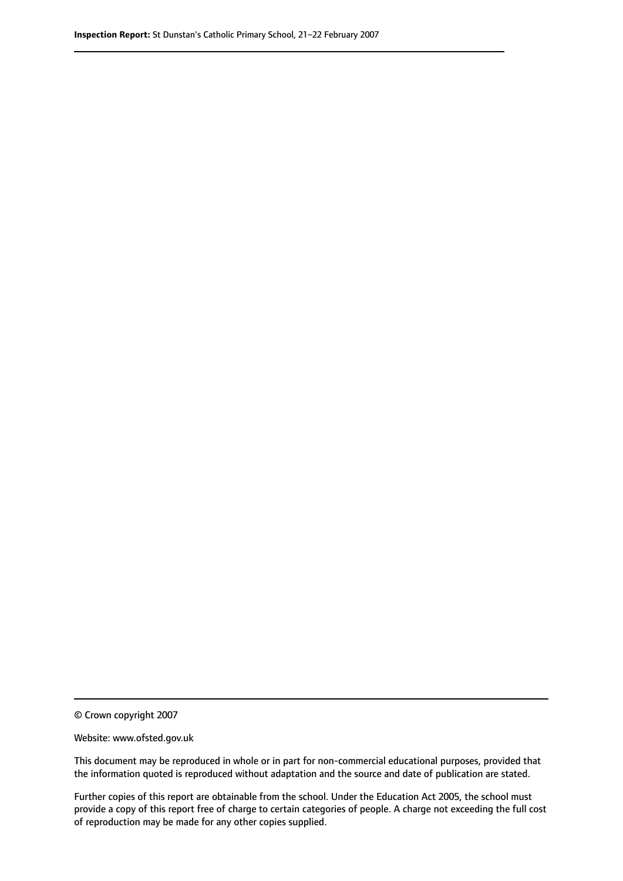© Crown copyright 2007

Website: www.ofsted.gov.uk

This document may be reproduced in whole or in part for non-commercial educational purposes, provided that the information quoted is reproduced without adaptation and the source and date of publication are stated.

Further copies of this report are obtainable from the school. Under the Education Act 2005, the school must provide a copy of this report free of charge to certain categories of people. A charge not exceeding the full cost of reproduction may be made for any other copies supplied.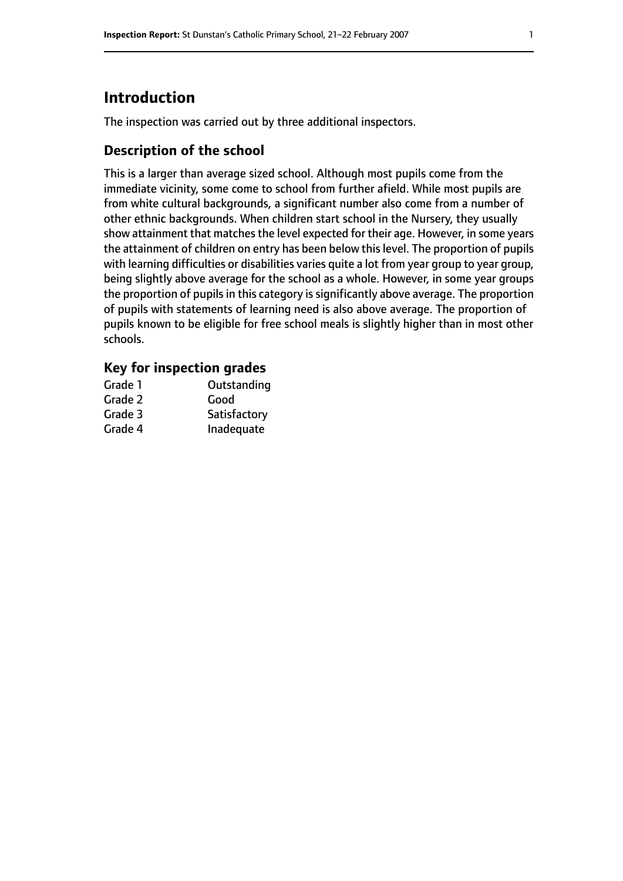# **Introduction**

The inspection was carried out by three additional inspectors.

# **Description of the school**

This is a larger than average sized school. Although most pupils come from the immediate vicinity, some come to school from further afield. While most pupils are from white cultural backgrounds, a significant number also come from a number of other ethnic backgrounds. When children start school in the Nursery, they usually show attainment that matches the level expected for their age. However, in some years the attainment of children on entry has been below thislevel. The proportion of pupils with learning difficulties or disabilities varies quite a lot from year group to year group, being slightly above average for the school as a whole. However, in some year groups the proportion of pupils in this category is significantly above average. The proportion of pupils with statements of learning need is also above average. The proportion of pupils known to be eligible for free school meals is slightly higher than in most other schools.

### **Key for inspection grades**

| Grade 1 | Outstanding  |
|---------|--------------|
| Grade 2 | Good         |
| Grade 3 | Satisfactory |
| Grade 4 | Inadequate   |
|         |              |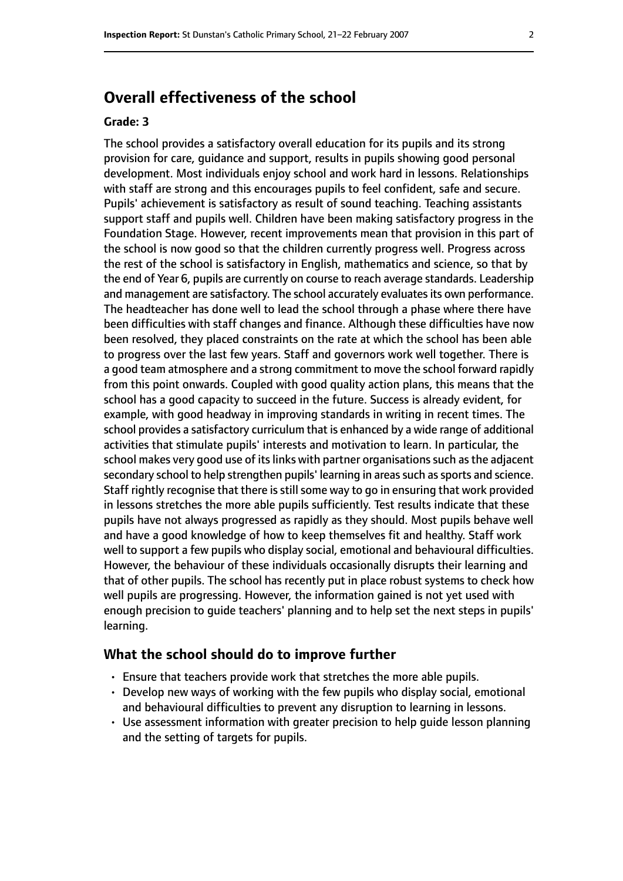# **Overall effectiveness of the school**

#### **Grade: 3**

The school provides a satisfactory overall education for its pupils and its strong provision for care, guidance and support, results in pupils showing good personal development. Most individuals enjoy school and work hard in lessons. Relationships with staff are strong and this encourages pupils to feel confident, safe and secure. Pupils' achievement is satisfactory as result of sound teaching. Teaching assistants support staff and pupils well. Children have been making satisfactory progress in the Foundation Stage. However, recent improvements mean that provision in this part of the school is now good so that the children currently progress well. Progress across the rest of the school is satisfactory in English, mathematics and science, so that by the end of Year 6, pupils are currently on course to reach average standards. Leadership and management are satisfactory. The school accurately evaluates its own performance. The headteacher has done well to lead the school through a phase where there have been difficulties with staff changes and finance. Although these difficulties have now been resolved, they placed constraints on the rate at which the school has been able to progress over the last few years. Staff and governors work well together. There is a good team atmosphere and a strong commitment to move the school forward rapidly from this point onwards. Coupled with good quality action plans, this means that the school has a good capacity to succeed in the future. Success is already evident, for example, with good headway in improving standards in writing in recent times. The school provides a satisfactory curriculum that is enhanced by a wide range of additional activities that stimulate pupils' interests and motivation to learn. In particular, the school makes very good use of its links with partner organisations such as the adjacent secondary school to help strengthen pupils' learning in areas such as sports and science. Staff rightly recognise that there is still some way to go in ensuring that work provided in lessons stretches the more able pupils sufficiently. Test results indicate that these pupils have not always progressed as rapidly as they should. Most pupils behave well and have a good knowledge of how to keep themselves fit and healthy. Staff work well to support a few pupils who display social, emotional and behavioural difficulties. However, the behaviour of these individuals occasionally disrupts their learning and that of other pupils. The school has recently put in place robust systems to check how well pupils are progressing. However, the information gained is not yet used with enough precision to guide teachers' planning and to help set the next steps in pupils' learning.

#### **What the school should do to improve further**

- Ensure that teachers provide work that stretches the more able pupils.
- Develop new ways of working with the few pupils who display social, emotional and behavioural difficulties to prevent any disruption to learning in lessons.
- Use assessment information with greater precision to help guide lesson planning and the setting of targets for pupils.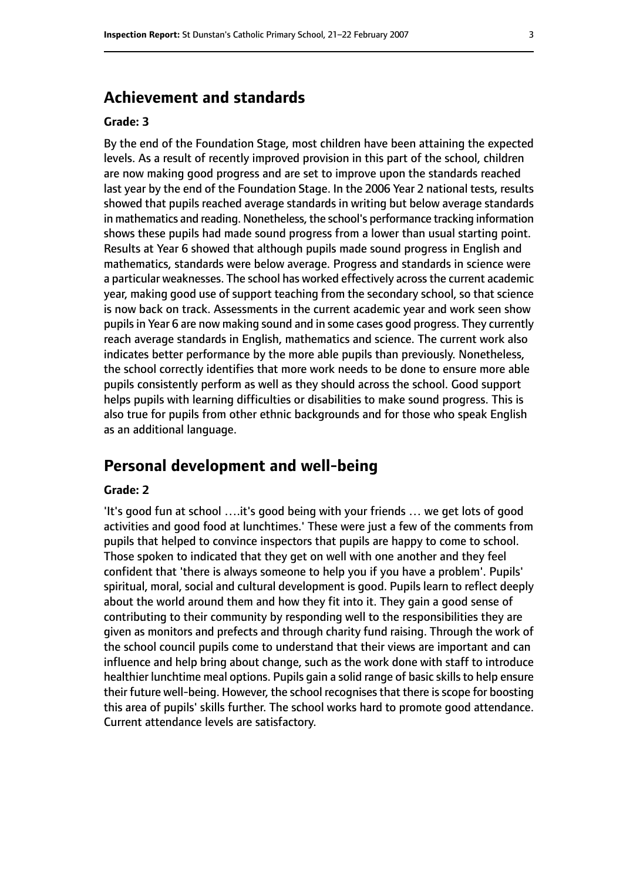# **Achievement and standards**

#### **Grade: 3**

By the end of the Foundation Stage, most children have been attaining the expected levels. As a result of recently improved provision in this part of the school, children are now making good progress and are set to improve upon the standards reached last year by the end of the Foundation Stage. In the 2006 Year 2 national tests, results showed that pupils reached average standards in writing but below average standards in mathematics and reading. Nonetheless, the school's performance tracking information shows these pupils had made sound progress from a lower than usual starting point. Results at Year 6 showed that although pupils made sound progress in English and mathematics, standards were below average. Progress and standards in science were a particular weaknesses. The school has worked effectively acrossthe current academic year, making good use of support teaching from the secondary school, so that science is now back on track. Assessments in the current academic year and work seen show pupils in Year 6 are now making sound and in some cases good progress. They currently reach average standards in English, mathematics and science. The current work also indicates better performance by the more able pupils than previously. Nonetheless, the school correctly identifies that more work needs to be done to ensure more able pupils consistently perform as well as they should across the school. Good support helps pupils with learning difficulties or disabilities to make sound progress. This is also true for pupils from other ethnic backgrounds and for those who speak English as an additional language.

# **Personal development and well-being**

#### **Grade: 2**

'It's good fun at school ….it's good being with your friends … we get lots of good activities and good food at lunchtimes.' These were just a few of the comments from pupils that helped to convince inspectors that pupils are happy to come to school. Those spoken to indicated that they get on well with one another and they feel confident that 'there is always someone to help you if you have a problem'. Pupils' spiritual, moral, social and cultural development is good. Pupils learn to reflect deeply about the world around them and how they fit into it. They gain a good sense of contributing to their community by responding well to the responsibilities they are given as monitors and prefects and through charity fund raising. Through the work of the school council pupils come to understand that their views are important and can influence and help bring about change, such as the work done with staff to introduce healthier lunchtime meal options. Pupils gain a solid range of basic skills to help ensure their future well-being. However, the school recognises that there is scope for boosting this area of pupils' skills further. The school works hard to promote good attendance. Current attendance levels are satisfactory.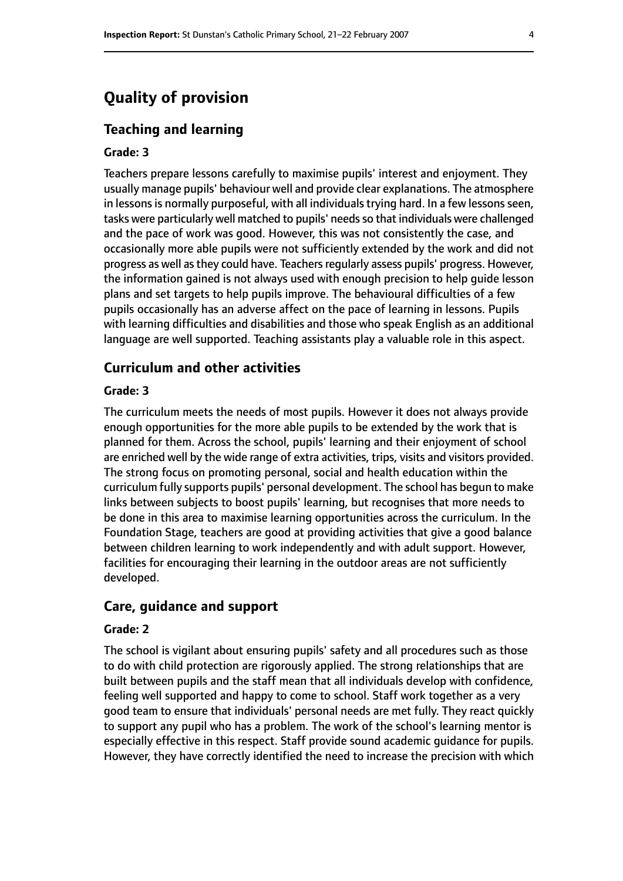# **Quality of provision**

#### **Teaching and learning**

#### **Grade: 3**

Teachers prepare lessons carefully to maximise pupils' interest and enjoyment. They usually manage pupils' behaviour well and provide clear explanations. The atmosphere in lessons is normally purposeful, with all individuals trying hard. In a few lessons seen, tasks were particularly well matched to pupils' needs so that individuals were challenged and the pace of work was good. However, this was not consistently the case, and occasionally more able pupils were not sufficiently extended by the work and did not progress as well as they could have. Teachers regularly assess pupils' progress. However, the information gained is not always used with enough precision to help guide lesson plans and set targets to help pupils improve. The behavioural difficulties of a few pupils occasionally has an adverse affect on the pace of learning in lessons. Pupils with learning difficulties and disabilities and those who speak English as an additional language are well supported. Teaching assistants play a valuable role in this aspect.

#### **Curriculum and other activities**

#### **Grade: 3**

The curriculum meets the needs of most pupils. However it does not always provide enough opportunities for the more able pupils to be extended by the work that is planned for them. Across the school, pupils' learning and their enjoyment of school are enriched well by the wide range of extra activities, trips, visits and visitors provided. The strong focus on promoting personal, social and health education within the curriculum fully supports pupils' personal development. The school has begun to make links between subjects to boost pupils' learning, but recognises that more needs to be done in this area to maximise learning opportunities across the curriculum. In the Foundation Stage, teachers are good at providing activities that give a good balance between children learning to work independently and with adult support. However, facilities for encouraging their learning in the outdoor areas are not sufficiently developed.

#### **Care, guidance and support**

#### **Grade: 2**

The school is vigilant about ensuring pupils' safety and all procedures such as those to do with child protection are rigorously applied. The strong relationships that are built between pupils and the staff mean that all individuals develop with confidence, feeling well supported and happy to come to school. Staff work together as a very good team to ensure that individuals' personal needs are met fully. They react quickly to support any pupil who has a problem. The work of the school's learning mentor is especially effective in this respect. Staff provide sound academic guidance for pupils. However, they have correctly identified the need to increase the precision with which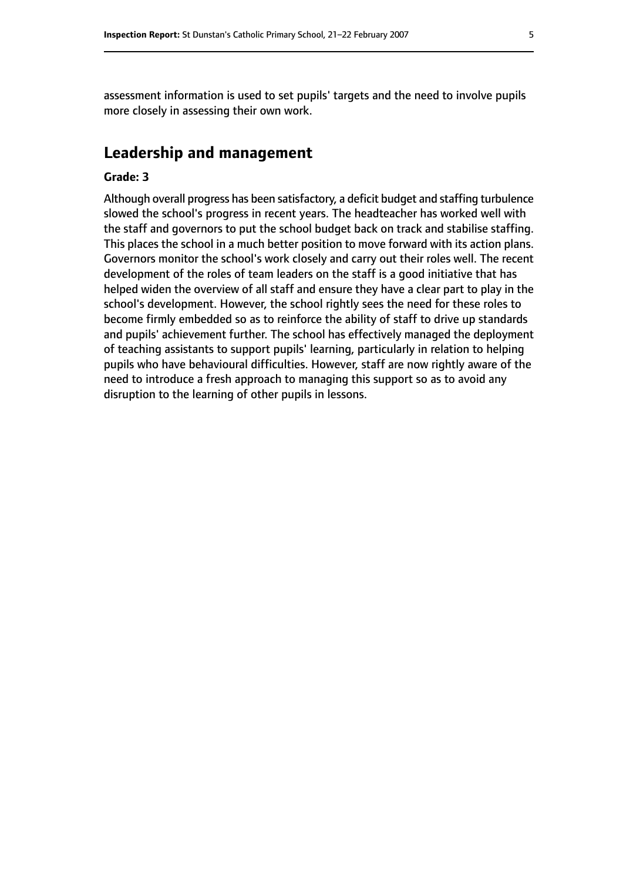assessment information is used to set pupils' targets and the need to involve pupils more closely in assessing their own work.

## **Leadership and management**

#### **Grade: 3**

Although overall progress has been satisfactory, a deficit budget and staffing turbulence slowed the school's progress in recent years. The headteacher has worked well with the staff and governors to put the school budget back on track and stabilise staffing. This places the school in a much better position to move forward with its action plans. Governors monitor the school's work closely and carry out their roles well. The recent development of the roles of team leaders on the staff is a good initiative that has helped widen the overview of all staff and ensure they have a clear part to play in the school's development. However, the school rightly sees the need for these roles to become firmly embedded so as to reinforce the ability of staff to drive up standards and pupils' achievement further. The school has effectively managed the deployment of teaching assistants to support pupils' learning, particularly in relation to helping pupils who have behavioural difficulties. However, staff are now rightly aware of the need to introduce a fresh approach to managing this support so as to avoid any disruption to the learning of other pupils in lessons.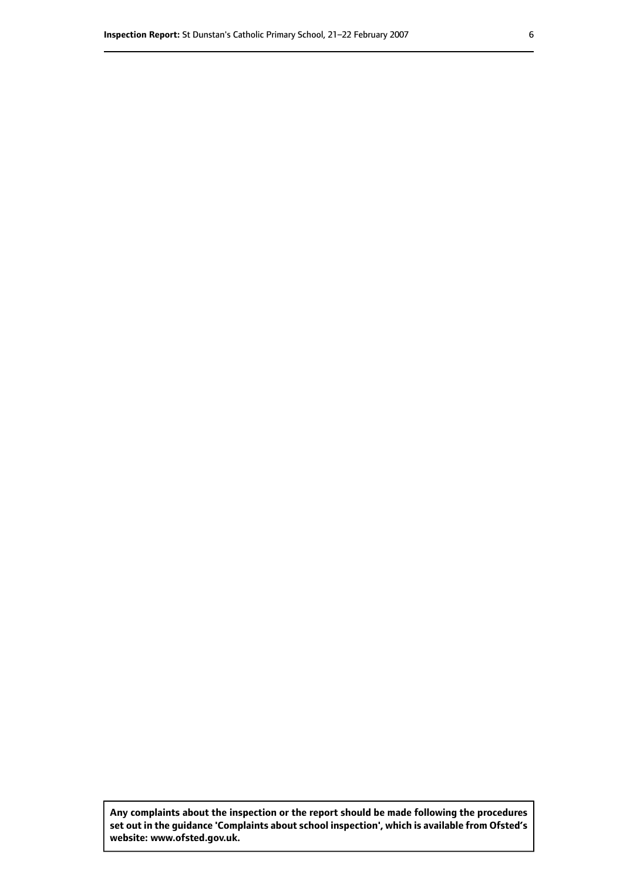**Any complaints about the inspection or the report should be made following the procedures set out inthe guidance 'Complaints about school inspection', whichis available from Ofsted's website: www.ofsted.gov.uk.**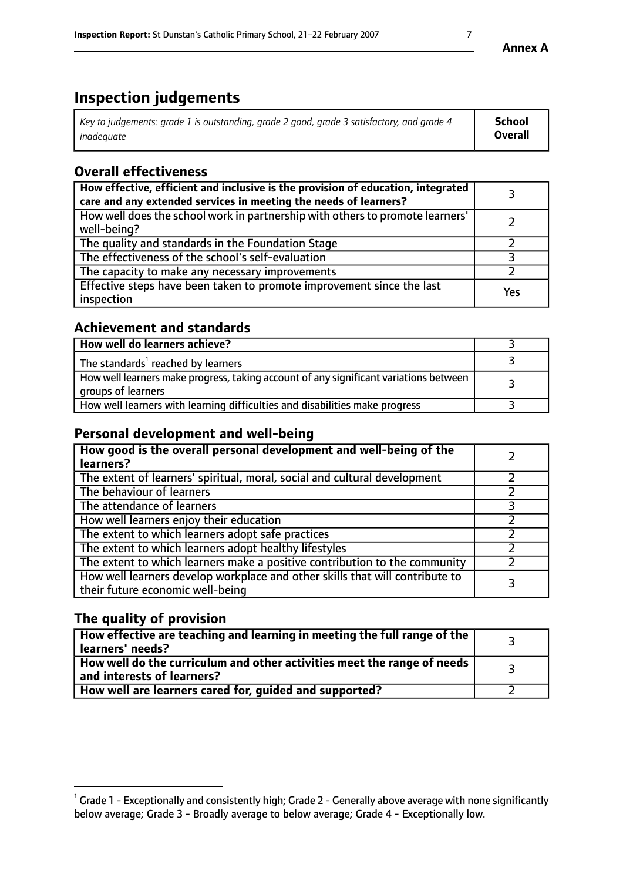# **Inspection judgements**

| Key to judgements: grade 1 is outstanding, grade 2 good, grade 3 satisfactory, and grade 4 | School  |
|--------------------------------------------------------------------------------------------|---------|
| inadeauate                                                                                 | Overall |

# **Overall effectiveness**

| How effective, efficient and inclusive is the provision of education, integrated<br>care and any extended services in meeting the needs of learners? |     |
|------------------------------------------------------------------------------------------------------------------------------------------------------|-----|
| How well does the school work in partnership with others to promote learners'<br>well-being?                                                         |     |
| The quality and standards in the Foundation Stage                                                                                                    |     |
| The effectiveness of the school's self-evaluation                                                                                                    |     |
| The capacity to make any necessary improvements                                                                                                      |     |
| Effective steps have been taken to promote improvement since the last<br>inspection                                                                  | Yes |

## **Achievement and standards**

| How well do learners achieve?                                                                               |  |
|-------------------------------------------------------------------------------------------------------------|--|
| The standards <sup>1</sup> reached by learners                                                              |  |
| How well learners make progress, taking account of any significant variations between<br>groups of learners |  |
| How well learners with learning difficulties and disabilities make progress                                 |  |

# **Personal development and well-being**

| How good is the overall personal development and well-being of the<br>learners?                                  |  |
|------------------------------------------------------------------------------------------------------------------|--|
| The extent of learners' spiritual, moral, social and cultural development                                        |  |
| The behaviour of learners                                                                                        |  |
| The attendance of learners                                                                                       |  |
| How well learners enjoy their education                                                                          |  |
| The extent to which learners adopt safe practices                                                                |  |
| The extent to which learners adopt healthy lifestyles                                                            |  |
| The extent to which learners make a positive contribution to the community                                       |  |
| How well learners develop workplace and other skills that will contribute to<br>their future economic well-being |  |

# **The quality of provision**

| How effective are teaching and learning in meeting the full range of the<br>learners' needs?          |  |
|-------------------------------------------------------------------------------------------------------|--|
| How well do the curriculum and other activities meet the range of needs<br>and interests of learners? |  |
| How well are learners cared for, guided and supported?                                                |  |

 $^1$  Grade 1 - Exceptionally and consistently high; Grade 2 - Generally above average with none significantly below average; Grade 3 - Broadly average to below average; Grade 4 - Exceptionally low.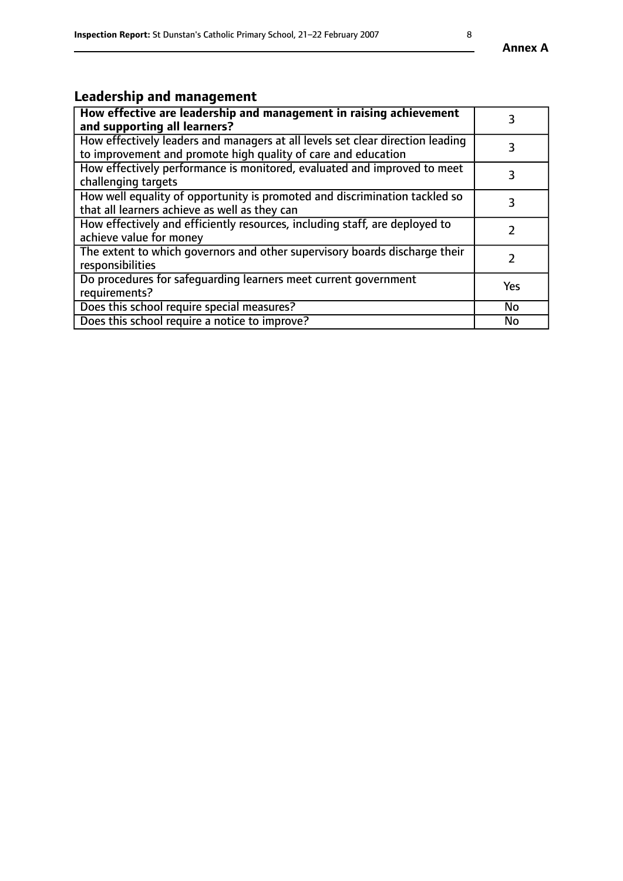# **Leadership and management**

| How effective are leadership and management in raising achievement<br>and supporting all learners?                                              |               |
|-------------------------------------------------------------------------------------------------------------------------------------------------|---------------|
| How effectively leaders and managers at all levels set clear direction leading<br>to improvement and promote high quality of care and education |               |
| How effectively performance is monitored, evaluated and improved to meet<br>challenging targets                                                 | 3             |
| How well equality of opportunity is promoted and discrimination tackled so<br>that all learners achieve as well as they can                     | 3             |
| How effectively and efficiently resources, including staff, are deployed to<br>achieve value for money                                          | $\mathcal{P}$ |
| The extent to which governors and other supervisory boards discharge their<br>responsibilities                                                  |               |
| Do procedures for safequarding learners meet current government<br>requirements?                                                                | Yes           |
| Does this school require special measures?                                                                                                      | No            |
| Does this school require a notice to improve?                                                                                                   | <b>No</b>     |